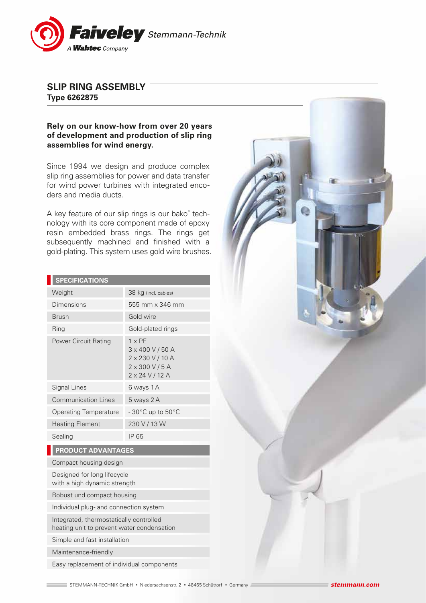

## **SLIP RING ASSEMBLY Type 6262875**

## **Rely on our know-how from over 20 years of development and production of slip ring assemblies for wind energy.**

Since 1994 we design and produce complex slip ring assemblies for power and data transfer for wind power turbines with integrated encoders and media ducts.

A key feature of our slip rings is our bako® technology with its core component made of epoxy resin embedded brass rings. The rings get subsequently machined and finished with a gold-plating. This system uses gold wire brushes.

| <b>SPECIFICATIONS</b>        |                                                                                                    |
|------------------------------|----------------------------------------------------------------------------------------------------|
| Weight                       | 38 kg (incl. cables)                                                                               |
| Dimensions                   | 555 mm x 346 mm                                                                                    |
| <b>Brush</b>                 | Gold wire                                                                                          |
| Ring                         | Gold-plated rings                                                                                  |
| <b>Power Circuit Rating</b>  | $1 \times PF$<br>3 x 400 V / 50 A<br>2 x 230 V / 10 A<br>$2 \times 300 V / 5 A$<br>2 x 24 V / 12 A |
| Signal Lines                 | 6 ways 1 A                                                                                         |
| <b>Communication Lines</b>   | 5 ways 2 A                                                                                         |
| <b>Operating Temperature</b> | $-30^{\circ}$ C up to $50^{\circ}$ C                                                               |
| <b>Heating Element</b>       | 230 V / 13 W                                                                                       |
| Sealing                      | IP 65                                                                                              |
| <b>PRODUCT ADVANTAGES</b>    |                                                                                                    |

Compact housing design

Designed for long lifecycle with a high dynamic strength

Robust und compact housing

Individual plug- and connection system

Integrated, thermostatically controlled heating unit to prevent water condensation

Simple and fast installation

Maintenance-friendly

Easy replacement of individual components